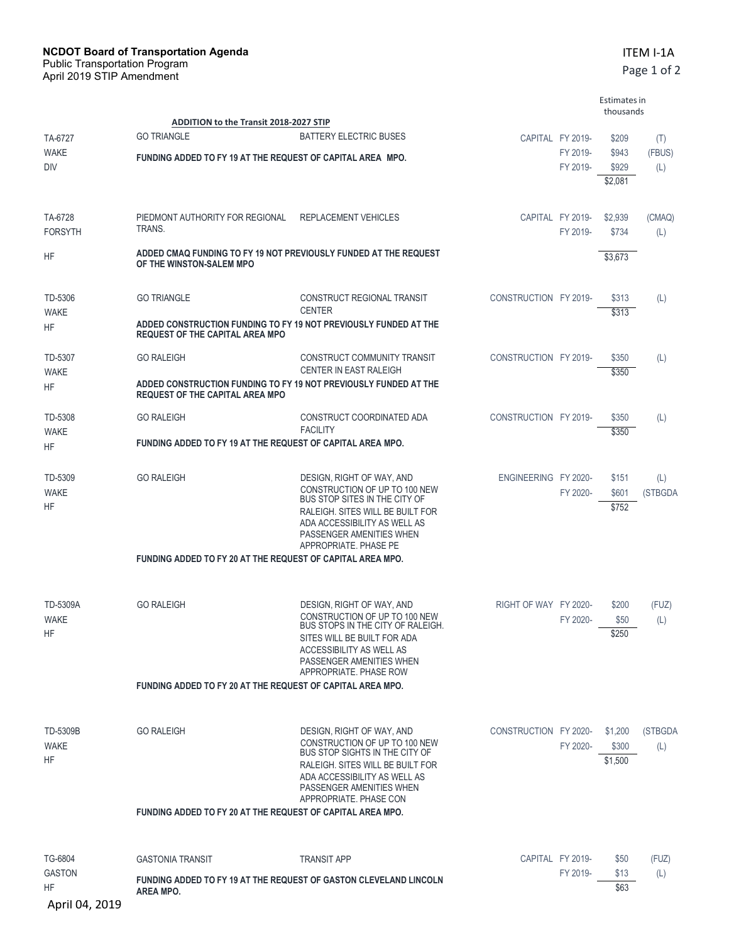|                                |                                                                                                            |                                                                                                                                                                                                                      |                       |                              | Estimates in<br>thousands   |                |
|--------------------------------|------------------------------------------------------------------------------------------------------------|----------------------------------------------------------------------------------------------------------------------------------------------------------------------------------------------------------------------|-----------------------|------------------------------|-----------------------------|----------------|
| TA-6727                        | <b>ADDITION to the Transit 2018-2027 STIP</b><br><b>GO TRIANGLE</b><br><b>BATTERY ELECTRIC BUSES</b>       |                                                                                                                                                                                                                      |                       | CAPITAL FY 2019-             | \$209                       | (T)            |
| <b>WAKE</b><br>DIV             | FUNDING ADDED TO FY 19 AT THE REQUEST OF CAPITAL AREA MPO.                                                 | FY 2019-<br>FY 2019-                                                                                                                                                                                                 |                       | \$943<br>\$929<br>\$2,081    | (FBUS)<br>(L)               |                |
| TA-6728<br><b>FORSYTH</b>      | PIEDMONT AUTHORITY FOR REGIONAL<br>TRANS.                                                                  | <b>REPLACEMENT VEHICLES</b>                                                                                                                                                                                          |                       | CAPITAL FY 2019-<br>FY 2019- | \$2,939<br>\$734            | (CMAQ)<br>(L)  |
| HF                             | ADDED CMAQ FUNDING TO FY 19 NOT PREVIOUSLY FUNDED AT THE REQUEST<br>OF THE WINSTON-SALEM MPO               |                                                                                                                                                                                                                      |                       |                              | \$3,673                     |                |
| TD-5306<br><b>WAKE</b>         | <b>GO TRIANGLE</b>                                                                                         | CONSTRUCT REGIONAL TRANSIT<br><b>CENTER</b>                                                                                                                                                                          | CONSTRUCTION FY 2019- |                              | \$313<br>\$313              | (L)            |
| HF                             | ADDED CONSTRUCTION FUNDING TO FY 19 NOT PREVIOUSLY FUNDED AT THE<br><b>REQUEST OF THE CAPITAL AREA MPO</b> |                                                                                                                                                                                                                      |                       |                              |                             |                |
| TD-5307<br><b>WAKE</b>         | <b>GO RALEIGH</b>                                                                                          | CONSTRUCT COMMUNITY TRANSIT<br>CENTER IN EAST RALEIGH                                                                                                                                                                | CONSTRUCTION FY 2019- |                              | \$350<br>\$350              | (L)            |
| ΗF                             | ADDED CONSTRUCTION FUNDING TO FY 19 NOT PREVIOUSLY FUNDED AT THE<br><b>REQUEST OF THE CAPITAL AREA MPO</b> |                                                                                                                                                                                                                      |                       |                              |                             |                |
| TD-5308<br>WAKE                | <b>GO RALEIGH</b>                                                                                          | CONSTRUCT COORDINATED ADA<br><b>FACILITY</b>                                                                                                                                                                         | CONSTRUCTION FY 2019- |                              | \$350<br>\$350              | (L)            |
| ΗF                             | FUNDING ADDED TO FY 19 AT THE REQUEST OF CAPITAL AREA MPO.                                                 |                                                                                                                                                                                                                      |                       |                              |                             |                |
| TD-5309<br>WAKE<br>ΗF          | <b>GO RALEIGH</b>                                                                                          | DESIGN, RIGHT OF WAY, AND<br>CONSTRUCTION OF UP TO 100 NEW<br>BUS STOP SITES IN THE CITY OF<br>RALEIGH. SITES WILL BE BUILT FOR<br>ADA ACCESSIBILITY AS WELL AS<br>PASSENGER AMENITIES WHEN<br>APPROPRIATE, PHASE PE | ENGINEERING FY 2020-  | FY 2020-                     | \$151<br>\$601<br>\$752     | (L)<br>(STBGDA |
|                                | FUNDING ADDED TO FY 20 AT THE REQUEST OF CAPITAL AREA MPO.                                                 |                                                                                                                                                                                                                      |                       |                              |                             |                |
| TD-5309A<br><b>WAKE</b><br>ΗF  | <b>GO RALEIGH</b>                                                                                          | DESIGN, RIGHT OF WAY, AND<br>CONSTRUCTION OF UP TO 100 NEW<br>BUS STOPS IN THE CITY OF RALEIGH.<br>SITES WILL BE BUILT FOR ADA<br>ACCESSIBILITY AS WELL AS<br>PASSENGER AMENITIES WHEN<br>APPROPRIATE. PHASE ROW     | RIGHT OF WAY FY 2020- | FY 2020-                     | \$200<br>\$50<br>\$250      | (FUZ)<br>(L)   |
|                                | FUNDING ADDED TO FY 20 AT THE REQUEST OF CAPITAL AREA MPO.                                                 |                                                                                                                                                                                                                      |                       |                              |                             |                |
| TD-5309B<br>WAKE<br>HF         | <b>GO RALEIGH</b>                                                                                          | DESIGN, RIGHT OF WAY, AND<br>CONSTRUCTION OF UP TO 100 NEW<br>BUS STOP SIGHTS IN THE CITY OF<br>RALEIGH. SITES WILL BE BUILT FOR<br>ADA ACCESSIBILITY AS WELL AS<br>PASSENGER AMENITIES WHEN                         | CONSTRUCTION FY 2020- | FY 2020-                     | \$1,200<br>\$300<br>\$1,500 | (STBGDA<br>(L) |
|                                | FUNDING ADDED TO FY 20 AT THE REQUEST OF CAPITAL AREA MPO.                                                 | APPROPRIATE. PHASE CON                                                                                                                                                                                               |                       |                              |                             |                |
| TG-6804<br><b>GASTON</b><br>ΗF | <b>GASTONIA TRANSIT</b>                                                                                    | <b>TRANSIT APP</b>                                                                                                                                                                                                   |                       | CAPITAL FY 2019-             | \$50                        | (FUZ)          |
|                                | FUNDING ADDED TO FY 19 AT THE REQUEST OF GASTON CLEVELAND LINCOLN<br><b>AREA MPO.</b>                      |                                                                                                                                                                                                                      |                       | FY 2019-                     | \$13<br>\$63                | (L)            |

April 04, 2019